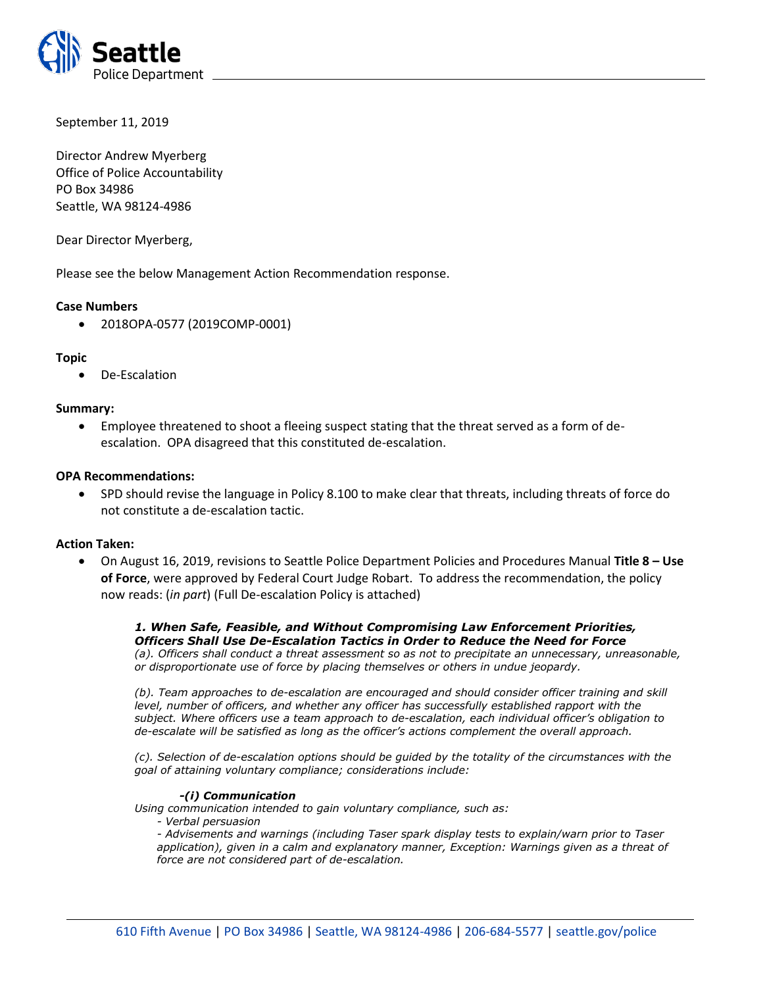

September 11, 2019

Director Andrew Myerberg Office of Police Accountability PO Box 34986 Seattle, WA 98124-4986

Dear Director Myerberg,

Please see the below Management Action Recommendation response.

## **Case Numbers**

• 2018OPA-0577 (2019COMP-0001)

## **Topic**

• De-Escalation

## **Summary:**

• Employee threatened to shoot a fleeing suspect stating that the threat served as a form of deescalation. OPA disagreed that this constituted de-escalation.

## **OPA Recommendations:**

• SPD should revise the language in Policy 8.100 to make clear that threats, including threats of force do not constitute a de-escalation tactic.

## **Action Taken:**

• On August 16, 2019, revisions to Seattle Police Department Policies and Procedures Manual **Title 8 – Use of Force**, were approved by Federal Court Judge Robart. To address the recommendation, the policy now reads: (*in part*) (Full De-escalation Policy is attached)

*1. When Safe, Feasible, and Without Compromising Law Enforcement Priorities, Officers Shall Use De-Escalation Tactics in Order to Reduce the Need for Force (a). Officers shall conduct a threat assessment so as not to precipitate an unnecessary, unreasonable, or disproportionate use of force by placing themselves or others in undue jeopardy.* 

*(b). Team approaches to de-escalation are encouraged and should consider officer training and skill level, number of officers, and whether any officer has successfully established rapport with the subject. Where officers use a team approach to de-escalation, each individual officer's obligation to de-escalate will be satisfied as long as the officer's actions complement the overall approach.* 

*(c). Selection of de-escalation options should be guided by the totality of the circumstances with the goal of attaining voluntary compliance; considerations include:* 

### *-(i) Communication*

*Using communication intended to gain voluntary compliance, such as:* 

*- Verbal persuasion* 

*- Advisements and warnings (including Taser spark display tests to explain/warn prior to Taser*  application), given in a calm and explanatory manner, Exception: Warnings given as a threat of *force are not considered part of de-escalation.*